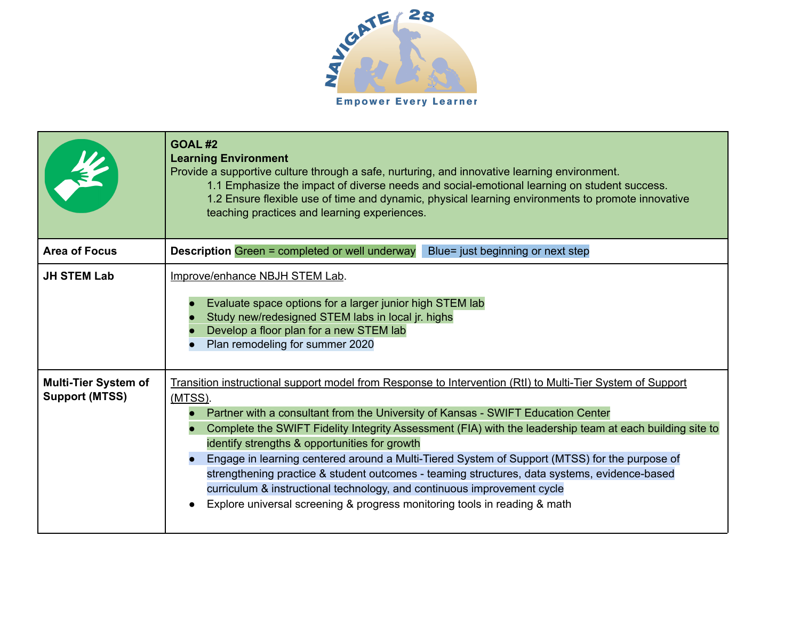

|                                                      | <b>GOAL #2</b><br><b>Learning Environment</b><br>Provide a supportive culture through a safe, nurturing, and innovative learning environment.<br>1.1 Emphasize the impact of diverse needs and social-emotional learning on student success.<br>1.2 Ensure flexible use of time and dynamic, physical learning environments to promote innovative<br>teaching practices and learning experiences.                                                                                                                                                                                                                                                                                                                                            |
|------------------------------------------------------|----------------------------------------------------------------------------------------------------------------------------------------------------------------------------------------------------------------------------------------------------------------------------------------------------------------------------------------------------------------------------------------------------------------------------------------------------------------------------------------------------------------------------------------------------------------------------------------------------------------------------------------------------------------------------------------------------------------------------------------------|
| <b>Area of Focus</b>                                 | <b>Description Green = completed or well underway</b><br>Blue= just beginning or next step                                                                                                                                                                                                                                                                                                                                                                                                                                                                                                                                                                                                                                                   |
| <b>JH STEM Lab</b>                                   | Improve/enhance NBJH STEM Lab.<br>Evaluate space options for a larger junior high STEM lab<br>Study new/redesigned STEM labs in local jr. highs<br>Develop a floor plan for a new STEM lab<br>Plan remodeling for summer 2020                                                                                                                                                                                                                                                                                                                                                                                                                                                                                                                |
| <b>Multi-Tier System of</b><br><b>Support (MTSS)</b> | Transition instructional support model from Response to Intervention (RtI) to Multi-Tier System of Support<br>(MTSS).<br>Partner with a consultant from the University of Kansas - SWIFT Education Center<br>Complete the SWIFT Fidelity Integrity Assessment (FIA) with the leadership team at each building site to<br>identify strengths & opportunities for growth<br>Engage in learning centered around a Multi-Tiered System of Support (MTSS) for the purpose of<br>strengthening practice & student outcomes - teaming structures, data systems, evidence-based<br>curriculum & instructional technology, and continuous improvement cycle<br>Explore universal screening & progress monitoring tools in reading & math<br>$\bullet$ |